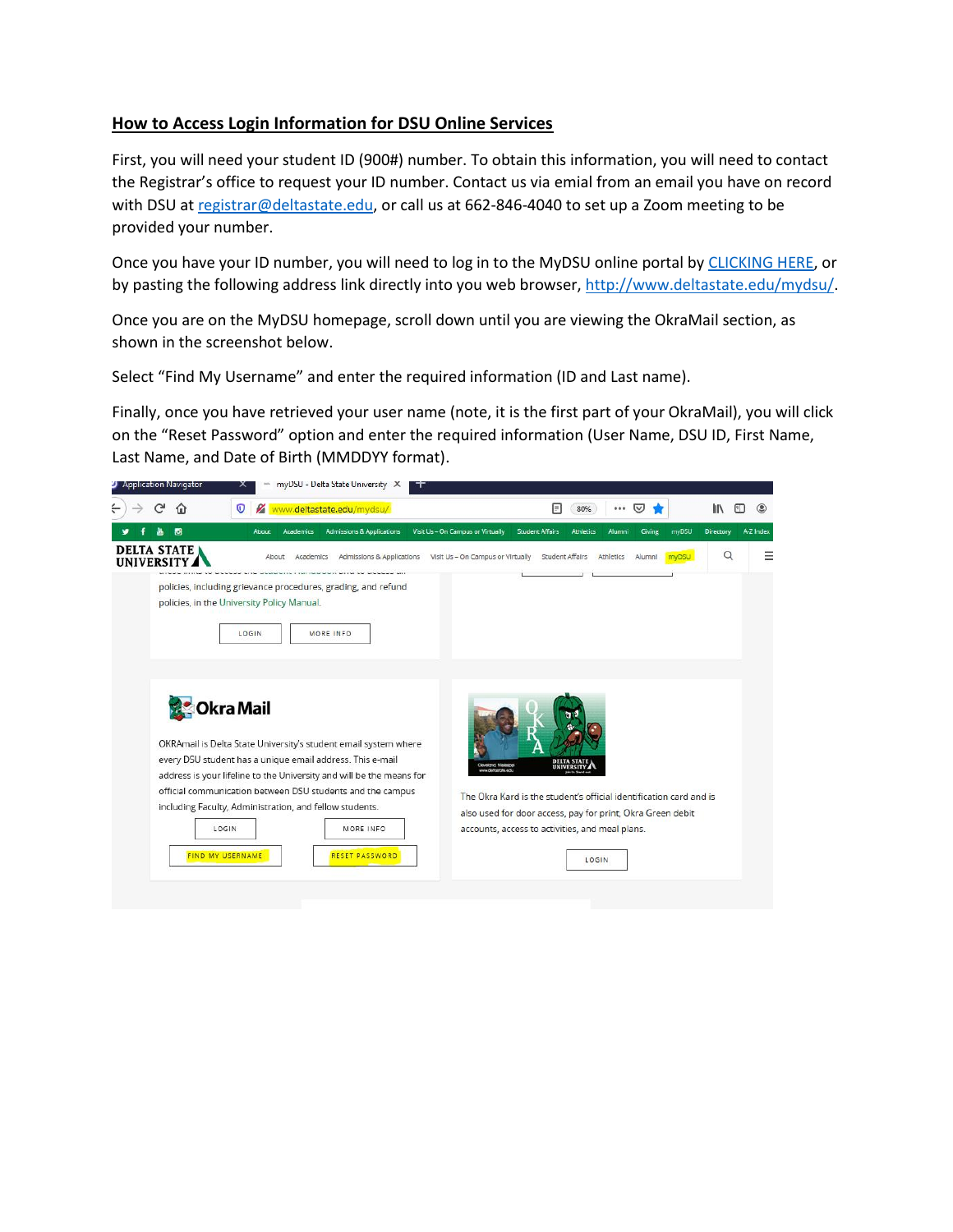## **How to Access Login Information for DSU Online Services**

First, you will need your student ID (900#) number. To obtain this information, you will need to contact the Registrar's office to request your ID number. Contact us via emial from an email you have on record with DSU at [registrar@deltastate.edu,](mailto:registrar@deltastate.edu) or call us at 662-846-4040 to set up a Zoom meeting to be provided your number.

Once you have your ID number, you will need to log in to the MyDSU online portal by [CLICKING HERE,](http://www.deltastate.edu/mydsu/) or by pasting the following address link directly into you web browser, [http://www.deltastate.edu/mydsu/.](http://www.deltastate.edu/mydsu/)

Once you are on the MyDSU homepage, scroll down until you are viewing the OkraMail section, as shown in the screenshot below.

Select "Find My Username" and enter the required information (ID and Last name).

Finally, once you have retrieved your user name (note, it is the first part of your OkraMail), you will click on the "Reset Password" option and enter the required information (User Name, DSU ID, First Name, Last Name, and Date of Birth (MMDDYY format).

| <b>Application Navigator</b>            | myDSU - Delta State University X<br>ᅐ                                                                                                                                                                                                                                                  |                                                                                                                                                                                              |           |
|-----------------------------------------|----------------------------------------------------------------------------------------------------------------------------------------------------------------------------------------------------------------------------------------------------------------------------------------|----------------------------------------------------------------------------------------------------------------------------------------------------------------------------------------------|-----------|
|                                         | Www.deltastate.edu/mydsu/<br>O                                                                                                                                                                                                                                                         | E<br>80%<br>l۱۱<br>⋓<br>                                                                                                                                                                     |           |
| o                                       | <b>Admissions &amp; Applications</b><br><b>About</b><br><b>Academics</b>                                                                                                                                                                                                               | Visit Us - On Campus or Virtually<br>myDSU<br>Directory<br><b>Student Affairs</b><br>Giving<br><b>Athletics</b><br>Alumni                                                                    | A-Z Index |
| <b>DELTA STATE</b><br><b>IINIVERSIT</b> | Academics<br>Admissions & Applications<br>About                                                                                                                                                                                                                                        | $\alpha$<br><b>Student Affairs</b><br>Visit Us - On Campus or Virtually<br>Alumni<br>myDSU<br>Athletics                                                                                      |           |
|                                         | policies, including grievance procedures, grading, and refund<br>policies, in the University Policy Manual.<br>LOGIN<br><b>MORE INFO</b>                                                                                                                                               |                                                                                                                                                                                              |           |
|                                         | <b>Okra Mail</b><br>OKRAmail is Delta State University's student email system where<br>every DSU student has a unique email address. This e-mail<br>address is your lifeline to the University and will be the means for<br>official communication between DSU students and the campus | DELTA STATE<br>Cleveland, Masiatoo<br>UNIVERSITY.<br>www.clastraticta.galu                                                                                                                   |           |
|                                         | including Faculty, Administration, and fellow students.<br>LOGIN<br>MORE INFO<br><b>FIND MY USERNAME</b><br><b>RESET PASSWORD</b>                                                                                                                                                      | The Okra Kard is the student's official identification card and is<br>also used for door access, pay for print, Okra Green debit<br>accounts, access to activities, and meal plans.<br>LOGIN |           |